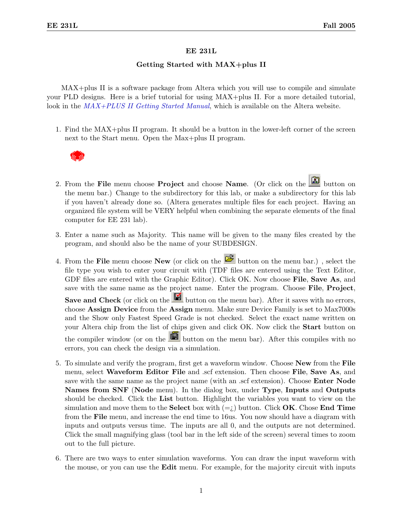## EE 231L

## Getting Started with MAX+plus II

MAX+plus II is a software package from Altera which you will use to compile and simulate your PLD designs. Here is a brief tutorial for using MAX+plus II. For a more detailed tutorial, look in the  $MAX+PLUS$  II Getting Started Manual, which is available on the Altera website.

1. Find the MAX+plus II program. It should be a button in the lower-left corner of the screen next to the Start menu. Open the Max+plus II program.



- 2. From the File menu choose Project and choose Name. (Or click on the  $\Box$  button on the menu bar.) Change to the subdirectory for this lab, or make a subdirectory for this lab if you haven't already done so. (Altera generates multiple files for each project. Having an organized file system will be VERY helpful when combining the separate elements of the final computer for EE 231 lab).
- 3. Enter a name such as Majority. This name will be given to the many files created by the program, and should also be the name of your SUBDESIGN.
- 4. From the File menu choose New (or click on the  $\mathbb{E}$  button on the menu bar.), select the file type you wish to enter your circuit with (TDF files are entered using the Text Editor, GDF files are entered with the Graphic Editor). Click OK. Now choose **File, Save As**, and save with the same name as the project name. Enter the program. Choose File, Project, Save and Check (or click on the  $\Box$  button on the menu bar). After it saves with no errors, choose Assign Device from the Assign menu. Make sure Device Family is set to Max7000s and the Show only Fastest Speed Grade is not checked. Select the exact name written on your Altera chip from the list of chips given and click OK. Now click the Start button on the compiler window (or on the  $\Box$  button on the menu bar). After this compiles with no errors, you can check the design via a simulation.
- 5. To simulate and verify the program, first get a waveform window. Choose New from the File menu, select Waveform Editor File and .scf extension. Then choose File, Save As, and save with the same name as the project name (with an .scf extension). Choose Enter Node Names from SNF (Node menu). In the dialog box, under Type, Inputs and Outputs should be checked. Click the List button. Highlight the variables you want to view on the simulation and move them to the **Select** box with  $(=i)$  button. Click **OK**. Chose **End Time** from the File menu, and increase the end time to 16us. You now should have a diagram with inputs and outputs versus time. The inputs are all 0, and the outputs are not determined. Click the small magnifying glass (tool bar in the left side of the screen) several times to zoom out to the full picture.
- 6. There are two ways to enter simulation waveforms. You can draw the input waveform with the mouse, or you can use the Edit menu. For example, for the majority circuit with inputs